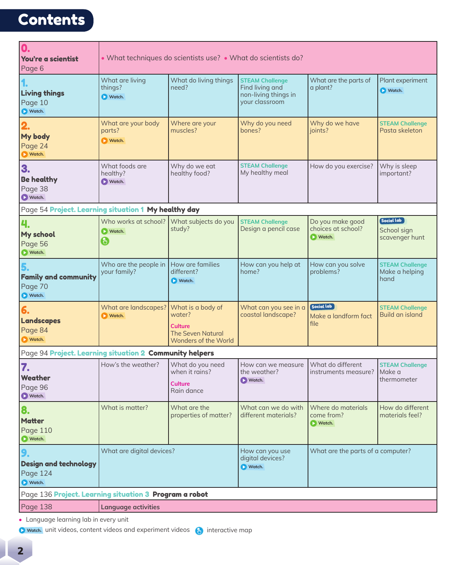## **Contents**

| 0.<br>You're a scientist<br>Page 6                                                                                                                                                                                                                                                                                                                                                                                                                                                                                                                                                                                                                                                                                                                                                                                                                                                                  | • What techniques do scientists use? • What do scientists do? |                                                                    |                                                                                     |                                            |                                          |  |
|-----------------------------------------------------------------------------------------------------------------------------------------------------------------------------------------------------------------------------------------------------------------------------------------------------------------------------------------------------------------------------------------------------------------------------------------------------------------------------------------------------------------------------------------------------------------------------------------------------------------------------------------------------------------------------------------------------------------------------------------------------------------------------------------------------------------------------------------------------------------------------------------------------|---------------------------------------------------------------|--------------------------------------------------------------------|-------------------------------------------------------------------------------------|--------------------------------------------|------------------------------------------|--|
| <b>Living things</b><br>Page 10<br>Watch.                                                                                                                                                                                                                                                                                                                                                                                                                                                                                                                                                                                                                                                                                                                                                                                                                                                           | What are living<br>things?<br>Watch.                          | What do living things<br>need?                                     | <b>STEAM Challenge</b><br>Find living and<br>non-living things in<br>your classroom | What are the parts of<br>a plant?          | Plant experiment<br>Watch.               |  |
| My body<br>Page 24<br><b>N</b> Watch.                                                                                                                                                                                                                                                                                                                                                                                                                                                                                                                                                                                                                                                                                                                                                                                                                                                               | What are your body<br>parts?<br><b>Natch.</b>                 | Where are your<br>muscles?                                         | Why do you need<br>bones?                                                           | Why do we have<br>joints?                  | <b>STEAM Challenge</b><br>Pasta skeleton |  |
| 3.<br><b>Be healthy</b><br>Page 38<br><b>N</b> Watch.                                                                                                                                                                                                                                                                                                                                                                                                                                                                                                                                                                                                                                                                                                                                                                                                                                               | What foods are<br>healthy?<br><b>D</b> Watch.                 | Why do we eat<br>healthy food?                                     | <b>STEAM Challenge</b><br>My healthy meal                                           | How do you exercise?                       | Why is sleep<br>important?               |  |
| Page 54 Project. Learning situation 1 My healthy day<br>Social Lab<br>Who works at school?<br>What subjects do you<br><b>STEAM Challenge</b><br>Do you make good<br>4.<br>choices at school?<br>Design a pencil case<br>study?<br>School sign<br><b>Natch.</b><br>My school<br>Natch.<br>scavenger hunt<br>$\mathbb{C}$<br>Page 56<br>Vatch.<br>Who are the people in<br>How are families<br>How can you help at<br>How can you solve<br><b>STEAM Challenge</b><br>5.<br>your family?<br>different?<br>home?<br>problems?<br>Make a helping<br><b>Family and community</b><br>hand<br><b>D</b> Watch.<br>Page 70<br>Watch.<br>Social lab<br>What are landscapes?<br>What is a body of<br>What can you see in a<br><b>STEAM Challenge</b><br>6.<br>coastal landscape?<br>Build an island<br>water?<br>$\triangleright$ Watch.<br>Make a landform fact<br><b>Landscapes</b><br>file<br><b>Culture</b> |                                                               |                                                                    |                                                                                     |                                            |                                          |  |
|                                                                                                                                                                                                                                                                                                                                                                                                                                                                                                                                                                                                                                                                                                                                                                                                                                                                                                     |                                                               |                                                                    |                                                                                     |                                            |                                          |  |
|                                                                                                                                                                                                                                                                                                                                                                                                                                                                                                                                                                                                                                                                                                                                                                                                                                                                                                     |                                                               |                                                                    |                                                                                     |                                            |                                          |  |
| Page 84<br><b>D</b> Watch.                                                                                                                                                                                                                                                                                                                                                                                                                                                                                                                                                                                                                                                                                                                                                                                                                                                                          |                                                               | <b>The Seven Natural</b><br>Wonders of the World                   |                                                                                     |                                            |                                          |  |
| Page 94 Project. Learning situation 2 Community helpers                                                                                                                                                                                                                                                                                                                                                                                                                                                                                                                                                                                                                                                                                                                                                                                                                                             |                                                               |                                                                    |                                                                                     |                                            |                                          |  |
| 7.<br>Weather<br>Page 96<br>Watch.                                                                                                                                                                                                                                                                                                                                                                                                                                                                                                                                                                                                                                                                                                                                                                                                                                                                  | How's the weather?                                            | What do you need<br>when it rains?<br><b>Culture</b><br>Rain dance | How can we measure   What do different<br>the weather?<br><b>D</b> Watch.           | instruments measure? Make a                | <b>STEAM Challenge</b><br>thermometer    |  |
| 8.<br><b>Matter</b><br><b>Page 110</b><br>Vatch.                                                                                                                                                                                                                                                                                                                                                                                                                                                                                                                                                                                                                                                                                                                                                                                                                                                    | What is matter?                                               | What are the<br>properties of matter?                              | What can we do with<br>different materials?                                         | Where do materials<br>come from?<br>Natch. | How do different<br>materials feel?      |  |
| 9.<br><b>Design and technology</b><br>Page 124<br>Watch.                                                                                                                                                                                                                                                                                                                                                                                                                                                                                                                                                                                                                                                                                                                                                                                                                                            | What are digital devices?                                     |                                                                    | How can you use<br>digital devices?<br>Watch.                                       | What are the parts of a computer?          |                                          |  |
| Page 136 Project. Learning situation 3 Program a robot                                                                                                                                                                                                                                                                                                                                                                                                                                                                                                                                                                                                                                                                                                                                                                                                                                              |                                                               |                                                                    |                                                                                     |                                            |                                          |  |
| Page 138                                                                                                                                                                                                                                                                                                                                                                                                                                                                                                                                                                                                                                                                                                                                                                                                                                                                                            | <b>Language activities</b>                                    |                                                                    |                                                                                     |                                            |                                          |  |

**•** Language learning lab in every unit

**Watch.** unit videos, content videos and experiment videos (b) interactive map